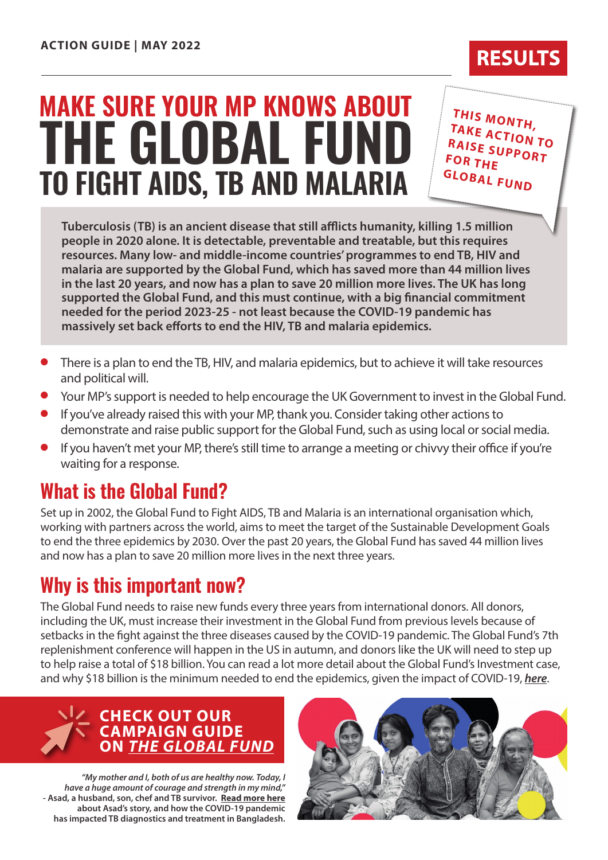# **TO FIGHT AIDS, TB AND MALARIA THE GLOBAL FUND MAKE SURE YOUR MP KNOWS ABOUT**

**THIS MONTH, TAKE ACTION TO RAISE SUPPORT FOR THE GLOBAL FUND**

**Tuberculosis (TB) is an ancient disease that still afflicts humanity, killing 1.5 million people in 2020 alone. It is detectable, preventable and treatable, but this requires resources. Many low- and middle-income countries' programmes to end TB, HIV and malaria are supported by the Global Fund, which has saved more than 44 million lives in the last 20 years, and now has a plan to save 20 million more lives. The UK has long supported the Global Fund, and this must continue, with a big financial commitment needed for the period 2023-25 - not least because the COVID-19 pandemic has massively set back efforts to end the HIV, TB and malaria epidemics.**

- l There is a plan to end the TB, HIV, and malaria epidemics, but to achieve it will take resources and political will.
- l Your MP's support is needed to help encourage the UK Government to invest in the Global Fund.
- If you've already raised this with your MP, thank you. Consider taking other actions to demonstrate and raise public support for the Global Fund, such as using local or social media.
- **If you haven't met your MP, there's still time to arrange a meeting or chivvy their office if you're** waiting for a response.

## **What is the Global Fund?**

Set up in 2002, the Global Fund to Fight AIDS, TB and Malaria is an international organisation which, working with partners across the world, aims to meet the target of the Sustainable Development Goals to end the three epidemics by 2030. Over the past 20 years, the Global Fund has saved 44 million lives and now has a plan to save 20 million more lives in the next three years.

# **Why is this important now?**

The Global Fund needs to raise new funds every three years from international donors. All donors, including the UK, must increase their investment in the Global Fund from previous levels because of setbacks in the fight against the three diseases caused by the COVID-19 pandemic. The Global Fund's 7th replenishment conference will happen in the US in autumn, and donors like the UK will need to step up to help raise a total of \$18 billion. You can read a lot more detail about the Global Fund's Investment case, and why \$18 billion is the minimum needed to end the epidemics, given the impact of COVID-19, *[here](https://www.globalfundadvocatesnetwork.org/wp-content/uploads/2022/03/GFAN-Advocacy-Briefing-on-the-Investment-Case-for-the-7th-Replenishment.pdf)*.



*"My mother and I, both of us are healthy now. Today, I have a huge amount of courage and strength in my mind,"*  **- Asad, a husband, son, chef and TB survivor. [Read more here](https://globalfund.exposure.co/asads-fight-surviving-tuberculosis-under-the-threat-of-covid19) about Asad's story, and how the COVID-19 pandemic has impacted TB diagnostics and treatment in Bangladesh.**